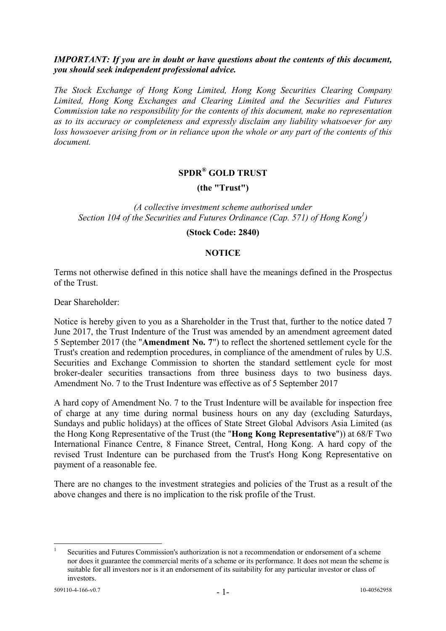## *IMPORTANT: If you are in doubt or have questions about the contents of this document, you should seek independent professional advice.*

*The Stock Exchange of Hong Kong Limited, Hong Kong Securities Clearing Company Limited, Hong Kong Exchanges and Clearing Limited and the Securities and Futures Commission take no responsibility for the contents of this document, make no representation as to its accuracy or completeness and expressly disclaim any liability whatsoever for any loss howsoever arising from or in reliance upon the whole or any part of the contents of this document.* 

# **SPDR® GOLD TRUST**

### **(the "Trust")**

# *(A collective investment scheme authorised under*  Section 104 of the Securities and Futures Ordinance (Cap. 571) of Hong Kong<sup>1</sup>)

#### **(Stock Code: 2840)**

### **NOTICE**

Terms not otherwise defined in this notice shall have the meanings defined in the Prospectus of the Trust.

Dear Shareholder:

Notice is hereby given to you as a Shareholder in the Trust that, further to the notice dated 7 June 2017, the Trust Indenture of the Trust was amended by an amendment agreement dated 5 September 2017 (the "**Amendment No. 7**") to reflect the shortened settlement cycle for the Trust's creation and redemption procedures, in compliance of the amendment of rules by U.S. Securities and Exchange Commission to shorten the standard settlement cycle for most broker-dealer securities transactions from three business days to two business days. Amendment No. 7 to the Trust Indenture was effective as of 5 September 2017

A hard copy of Amendment No. 7 to the Trust Indenture will be available for inspection free of charge at any time during normal business hours on any day (excluding Saturdays, Sundays and public holidays) at the offices of State Street Global Advisors Asia Limited (as the Hong Kong Representative of the Trust (the "**Hong Kong Representative**")) at 68/F Two International Finance Centre, 8 Finance Street, Central, Hong Kong. A hard copy of the revised Trust Indenture can be purchased from the Trust's Hong Kong Representative on payment of a reasonable fee.

There are no changes to the investment strategies and policies of the Trust as a result of the above changes and there is no implication to the risk profile of the Trust.

 $\frac{1}{1}$  Securities and Futures Commission's authorization is not a recommendation or endorsement of a scheme nor does it guarantee the commercial merits of a scheme or its performance. It does not mean the scheme is suitable for all investors nor is it an endorsement of its suitability for any particular investor or class of investors.